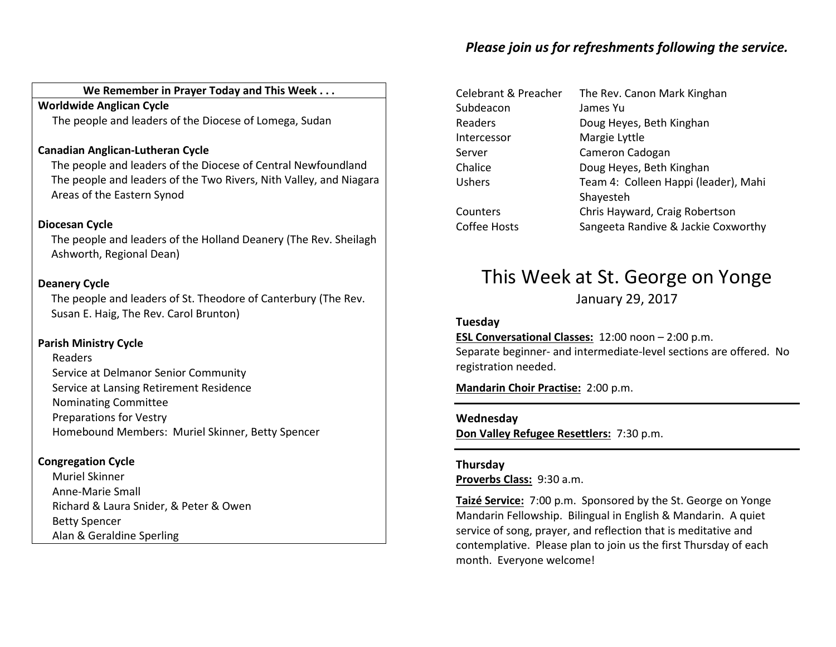### Please join us for refreshments following the service.

### We Remember in Prayer Today and This Week . . .

Worldwide Anglican CycleThe people and leaders of the Diocese of Lomega, Sudan

### Canadian Anglican-Lutheran Cycle

The people and leaders of the Diocese of Central Newfoundland The people and leaders of the Two Rivers, Nith Valley, and Niagara Areas of the Eastern Synod

### Diocesan Cycle

The people and leaders of the Holland Deanery (The Rev. Sheilagh Ashworth, Regional Dean)

### Deanery Cycle

The people and leaders of St. Theodore of Canterbury (The Rev. Susan E. Haig, The Rev. Carol Brunton)

#### Parish Ministry Cycle

Readers Service at Delmanor Senior Community Service at Lansing Retirement Residence Nominating Committee Preparations for Vestry Homebound Members: Muriel Skinner, Betty Spencer

#### Congregation Cycle

Muriel Skinner Anne-Marie Small Richard & Laura Snider, & Peter & Owen Betty Spencer Alan & Geraldine Sperling

| Celebrant & Preacher | The Rev. Canon Mark Kinghan          |  |
|----------------------|--------------------------------------|--|
| Subdeacon            | James Yu                             |  |
| Readers              | Doug Heyes, Beth Kinghan             |  |
| Intercessor          | Margie Lyttle                        |  |
| Server               | Cameron Cadogan                      |  |
| Chalice              | Doug Heyes, Beth Kinghan             |  |
| Ushers               | Team 4: Colleen Happi (leader), Mahi |  |
|                      | Shayesteh                            |  |
| Counters             | Chris Hayward, Craig Robertson       |  |
| Coffee Hosts         | Sangeeta Randive & Jackie Coxworthy  |  |

### This Week at St. George on Yonge

January 29, 2017

### Tuesday

ESL Conversational Classes: 12:00 noon – 2:00 p.m. Separate beginner- and intermediate-level sections are offered. No registration needed.

Mandarin Choir Practise: 2:00 p.m.

Wednesday Don Valley Refugee Resettlers: 7:30 p.m.

Thursday Proverbs Class: 9:30 a.m.

Taizé Service: 7:00 p.m. Sponsored by the St. George on Yonge Mandarin Fellowship. Bilingual in English & Mandarin. A quiet service of song, prayer, and reflection that is meditative and contemplative. Please plan to join us the first Thursday of each month. Everyone welcome!